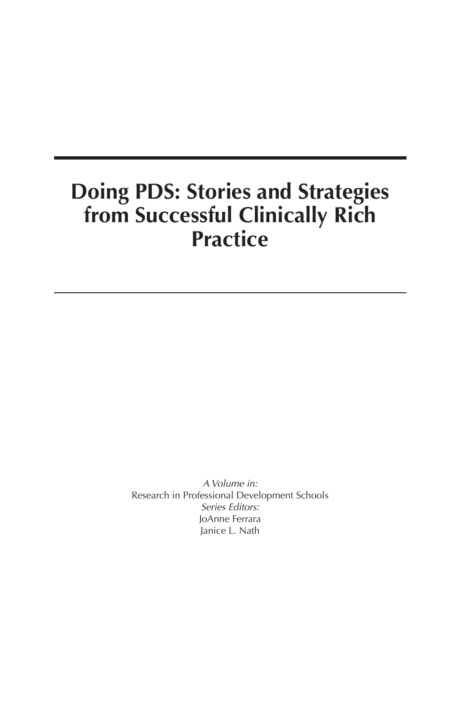# **Doing PDS: Stories and Strategies from Successful Clinically Rich Practice**

A Volume in: Research in Professional Development Schools Series Editors: JoAnne Ferrara Janice L. Nath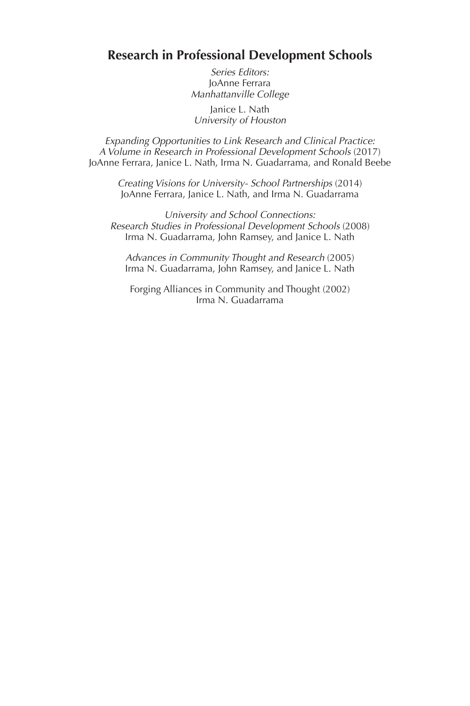## **Research in Professional Development Schools**

Series Editors: JoAnne Ferrara Manhattanville College

Janice L. Nath University of Houston

Expanding Opportunities to Link Research and Clinical Practice: A Volume in Research in Professional Development Schools (2017) JoAnne Ferrara, Janice L. Nath, Irma N. Guadarrama, and Ronald Beebe

Creating Visions for University- School Partnerships (2014) JoAnne Ferrara, Janice L. Nath, and Irma N. Guadarrama

University and School Connections: Research Studies in Professional Development Schools (2008) Irma N. Guadarrama, John Ramsey, and Janice L. Nath

Advances in Community Thought and Research (2005) Irma N. Guadarrama, John Ramsey, and Janice L. Nath

Forging Alliances in Community and Thought (2002) Irma N. Guadarrama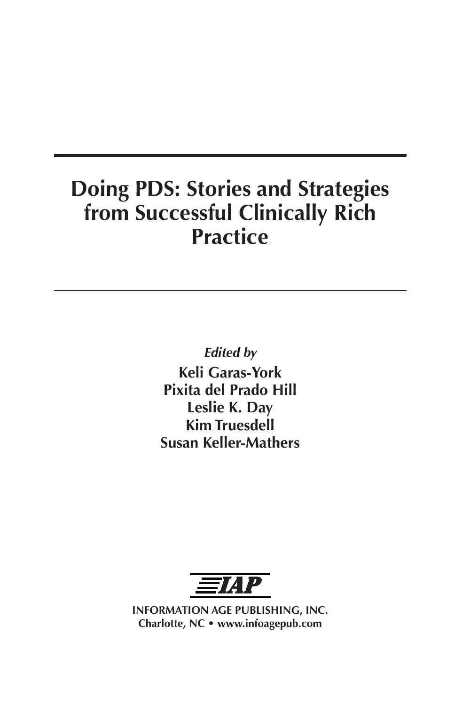# **Doing PDS: Stories and Strategies from Successful Clinically Rich Practice**

**Edited by Keli Garas-York Pixita del Prado Hill Leslie K. Day Kim Truesdell Susan Keller-Mathers**



**INFORMATION AGE PUBLISHING, INC. Charlotte, NC • www.infoagepub.com**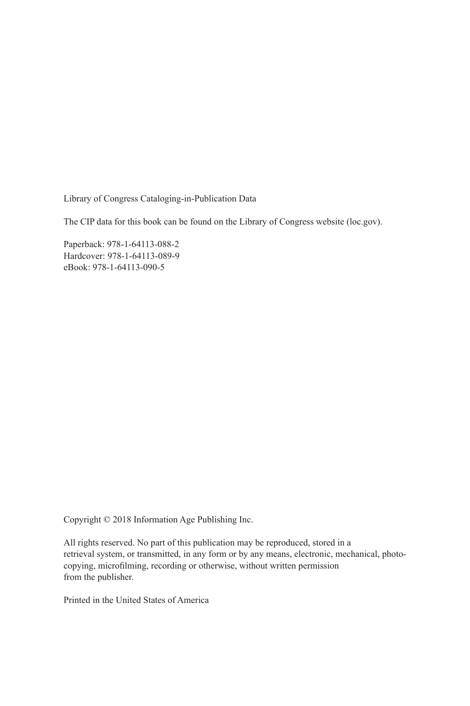Library of Congress Cataloging-in-Publication Data

The CIP data for this book can be found on the Library of Congress website (loc.gov).

Paperback: 978-1-64113-088-2 Hardcover: 978-1-64113-089-9 eBook: 978-1-64113-090-5

Copyright © 2018 Information Age Publishing Inc.

All rights reserved. No part of this publication may be reproduced, stored in a retrieval system, or transmitted, in any form or by any means, electronic, mechanical, photocopying, microfilming, recording or otherwise, without written permission from the publisher.

Printed in the United States of America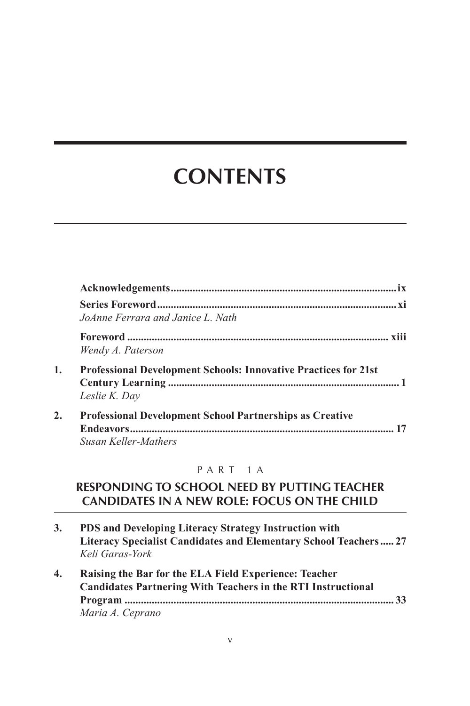# **CONTENTS**

|    | JoAnne Ferrara and Janice L. Nath                                                              |
|----|------------------------------------------------------------------------------------------------|
|    | Wendy A. Paterson                                                                              |
| 1. | <b>Professional Development Schools: Innovative Practices for 21st</b><br>Leslie K. Day        |
| 2. | <b>Professional Development School Partnerships as Creative</b><br><b>Susan Keller-Mathers</b> |

### PART 1A

## **RESPONDING TO SCHOOL NEED BY PUTTING TEACHER CANDIDATES IN A NEW ROLE: FOCUS ON THE CHILD**

- **3. PDS and Developing Literacy Strategy Instruction with Literacy Specialist Candidates and Elementary School Teachers..... 27** *Keli Garas-York*
- **4. Raising the Bar for the ELA Field Experience: Teacher Candidates Partnering With Teachers in the RTI Instructional Program ................................................................................................... 33** *Maria A. Ceprano*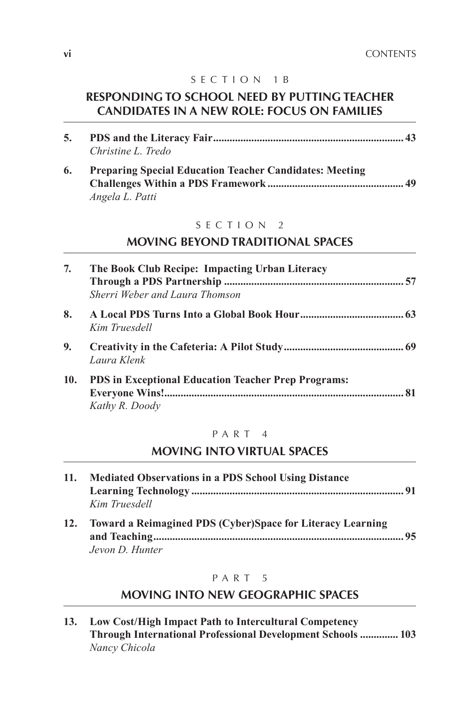## SECTION 1B

## **RESPONDING TO SCHOOL NEED BY PUTTING TEACHER CANDIDATES IN A NEW ROLE: FOCUS ON FAMILIES**

| 5. |                                                                |  |
|----|----------------------------------------------------------------|--|
|    | Christine L. Tredo                                             |  |
| 6. | <b>Preparing Special Education Teacher Candidates: Meeting</b> |  |
|    |                                                                |  |
|    | Angela L. Patti                                                |  |

### SECTION 2

## **MOVING BEYOND TRADITIONAL SPACES**

| 7.  | The Book Club Recipe: Impacting Urban Literacy                               |  |
|-----|------------------------------------------------------------------------------|--|
|     | Sherri Weber and Laura Thomson                                               |  |
| 8.  | Kim Truesdell                                                                |  |
| 9.  | Laura Klenk                                                                  |  |
| 10. | <b>PDS</b> in Exceptional Education Teacher Prep Programs:<br>Kathy R. Doody |  |

### PART 4

## **MOVING INTO VIRTUAL SPACES**

| 11. | <b>Mediated Observations in a PDS School Using Distance</b><br>Kim Truesdell  |    |
|-----|-------------------------------------------------------------------------------|----|
| 12. | Toward a Reimagined PDS (Cyber)Space for Literacy Learning<br>Jevon D. Hunter | 95 |

### PART<sub>5</sub>

## **MOVING INTO NEW GEOGRAPHIC SPACES**

| 13. | Low Cost/High Impact Path to Intercultural Competency              |
|-----|--------------------------------------------------------------------|
|     | <b>Through International Professional Development Schools  103</b> |
|     | Nancy Chicola                                                      |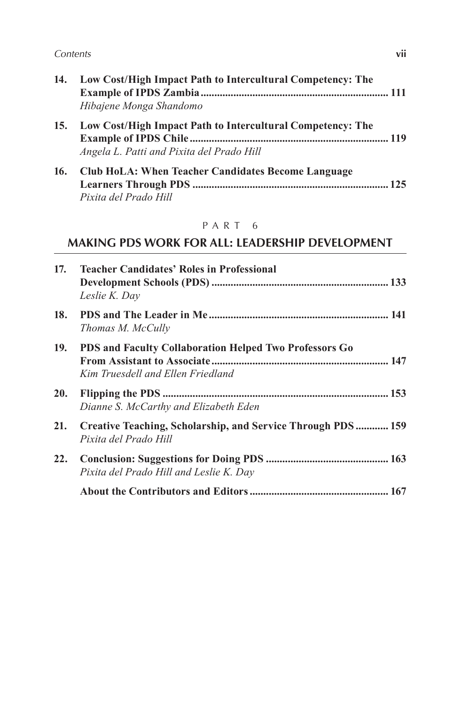#### Contents **vii**

| 14. | Low Cost/High Impact Path to Intercultural Competency: The |
|-----|------------------------------------------------------------|
|     | Hibajene Monga Shandomo                                    |
| 15. | Low Cost/High Impact Path to Intercultural Competency: The |
|     | Angela L. Patti and Pixita del Prado Hill                  |
| 16. | Club HoLA: When Teacher Candidates Become Language         |

*Pixita del Prado Hill*

## PART 6

## **MAKING PDS WORK FOR ALL: LEADERSHIP DEVELOPMENT**

| 17. | <b>Teacher Candidates' Roles in Professional</b><br>Leslie K. Day                           |
|-----|---------------------------------------------------------------------------------------------|
| 18. | Thomas M. McCully                                                                           |
| 19. | PDS and Faculty Collaboration Helped Two Professors Go<br>Kim Truesdell and Ellen Friedland |
|     | Dianne S. McCarthy and Elizabeth Eden                                                       |
| 21. | Creative Teaching, Scholarship, and Service Through PDS  159<br>Pixita del Prado Hill       |
| 22. | Pixita del Prado Hill and Leslie K. Day                                                     |
|     |                                                                                             |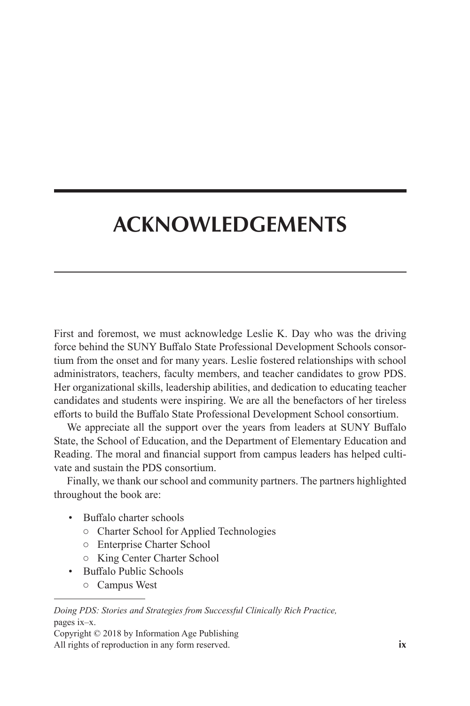# **ACKNOWLEDGEMENTS**

First and foremost, we must acknowledge Leslie K. Day who was the driving force behind the SUNY Buffalo State Professional Development Schools consortium from the onset and for many years. Leslie fostered relationships with school administrators, teachers, faculty members, and teacher candidates to grow PDS. Her organizational skills, leadership abilities, and dedication to educating teacher candidates and students were inspiring. We are all the benefactors of her tireless efforts to build the Buffalo State Professional Development School consortium.

We appreciate all the support over the years from leaders at SUNY Buffalo State, the School of Education, and the Department of Elementary Education and Reading. The moral and financial support from campus leaders has helped cultivate and sustain the PDS consortium.

Finally, we thank our school and community partners. The partners highlighted throughout the book are:

- Buffalo charter schools
	- Charter School for Applied Technologies
	- Enterprise Charter School
	- King Center Charter School
- Buffalo Public Schools

○ Campus West

Copyright © 2018 by Information Age Publishing All rights of reproduction in any form reserved. **ix**

*Doing PDS: Stories and Strategies from Successful Clinically Rich Practice,*  pages ix–x.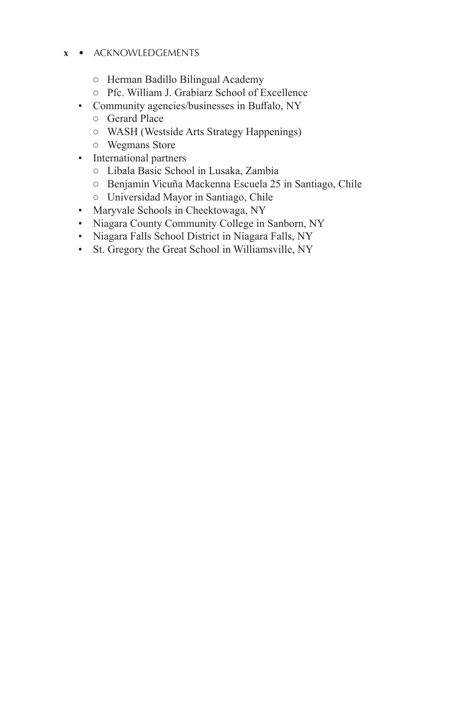### **x** • ACKNOWLEDGEMENTS

- Herman Badillo Bilingual Academy
- Pfc. William J. Grabiarz School of Excellence
- Community agencies/businesses in Buffalo, NY
	- Gerard Place
	- WASH (Westside Arts Strategy Happenings)
	- Wegmans Store
- International partners
	- Libala Basic School in Lusaka, Zambia
	- Benjamín Vicuña Mackenna Escuela 25 in Santiago, Chile
	- Universidad Mayor in Santiago, Chile
- Maryvale Schools in Cheektowaga, NY
- Niagara County Community College in Sanborn, NY
- Niagara Falls School District in Niagara Falls, NY
- St. Gregory the Great School in Williamsville, NY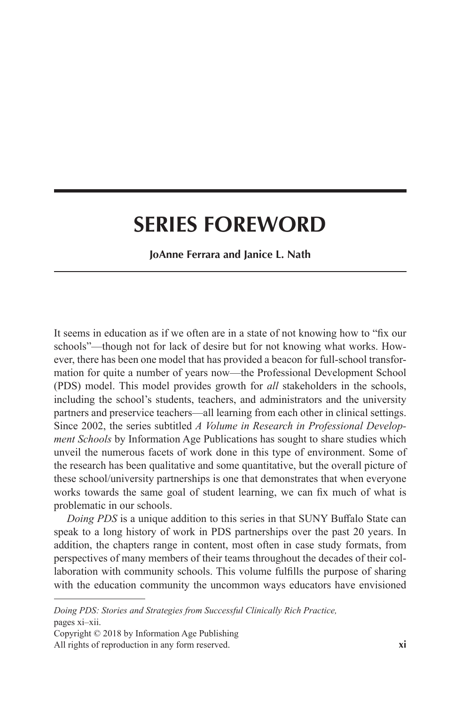## **SERIES FOREWORD**

**JoAnne Ferrara and Janice L. Nath**

It seems in education as if we often are in a state of not knowing how to "fix our schools"—though not for lack of desire but for not knowing what works. However, there has been one model that has provided a beacon for full-school transformation for quite a number of years now—the Professional Development School (PDS) model. This model provides growth for *all* stakeholders in the schools, including the school's students, teachers, and administrators and the university partners and preservice teachers—all learning from each other in clinical settings. Since 2002, the series subtitled *A Volume in Research in Professional Development Schools* by Information Age Publications has sought to share studies which unveil the numerous facets of work done in this type of environment. Some of the research has been qualitative and some quantitative, but the overall picture of these school/university partnerships is one that demonstrates that when everyone works towards the same goal of student learning, we can fix much of what is problematic in our schools.

*Doing PDS* is a unique addition to this series in that SUNY Buffalo State can speak to a long history of work in PDS partnerships over the past 20 years. In addition, the chapters range in content, most often in case study formats, from perspectives of many members of their teams throughout the decades of their collaboration with community schools. This volume fulfills the purpose of sharing with the education community the uncommon ways educators have envisioned

*Doing PDS: Stories and Strategies from Successful Clinically Rich Practice,*  pages xi–xii.

Copyright © 2018 by Information Age Publishing All rights of reproduction in any form reserved. **xi**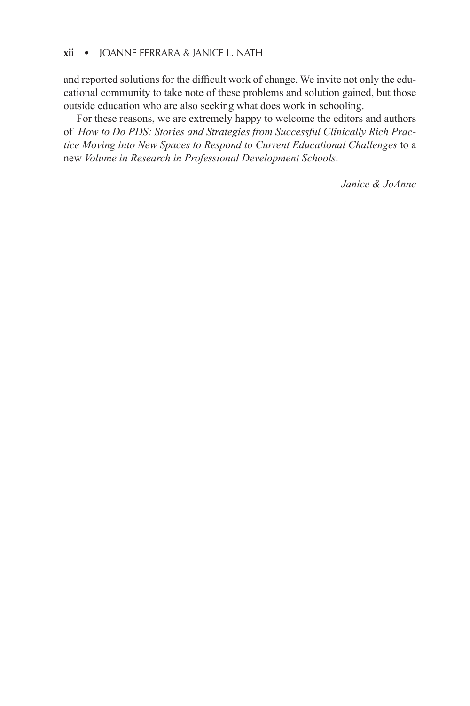and reported solutions for the difficult work of change. We invite not only the educational community to take note of these problems and solution gained, but those outside education who are also seeking what does work in schooling.

For these reasons, we are extremely happy to welcome the editors and authors of *How to Do PDS: Stories and Strategies from Successful Clinically Rich Practice Moving into New Spaces to Respond to Current Educational Challenges* to a new *Volume in Research in Professional Development Schools*.

*Janice & JoAnne*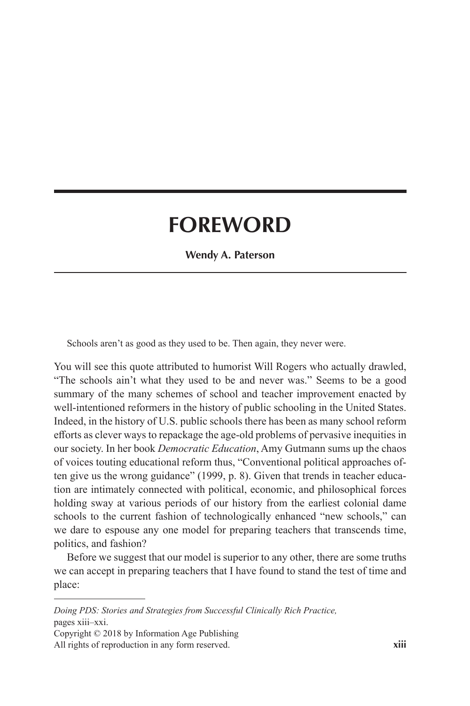# **FOREWORD**

**Wendy A. Paterson**

Schools aren't as good as they used to be. Then again, they never were.

You will see this quote attributed to humorist Will Rogers who actually drawled, "The schools ain't what they used to be and never was." Seems to be a good summary of the many schemes of school and teacher improvement enacted by well-intentioned reformers in the history of public schooling in the United States. Indeed, in the history of U.S. public schools there has been as many school reform efforts as clever ways to repackage the age-old problems of pervasive inequities in our society. In her book *Democratic Education*, Amy Gutmann sums up the chaos of voices touting educational reform thus, "Conventional political approaches often give us the wrong guidance" (1999, p. 8). Given that trends in teacher education are intimately connected with political, economic, and philosophical forces holding sway at various periods of our history from the earliest colonial dame schools to the current fashion of technologically enhanced "new schools," can we dare to espouse any one model for preparing teachers that transcends time, politics, and fashion?

Before we suggest that our model is superior to any other, there are some truths we can accept in preparing teachers that I have found to stand the test of time and place:

*Doing PDS: Stories and Strategies from Successful Clinically Rich Practice,*  pages xiii–xxi.

Copyright © 2018 by Information Age Publishing All rights of reproduction in any form reserved. **xiii**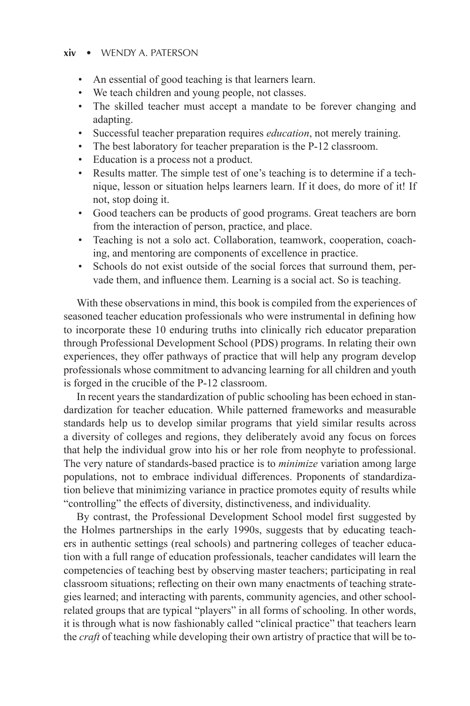#### **xiv** • WENDY A. PATERSON

- An essential of good teaching is that learners learn.
- We teach children and young people, not classes.
- The skilled teacher must accept a mandate to be forever changing and adapting.
- Successful teacher preparation requires *education*, not merely training.
- The best laboratory for teacher preparation is the P-12 classroom.
- Education is a process not a product.
- Results matter. The simple test of one's teaching is to determine if a technique, lesson or situation helps learners learn. If it does, do more of it! If not, stop doing it.
- Good teachers can be products of good programs. Great teachers are born from the interaction of person, practice, and place.
- Teaching is not a solo act. Collaboration, teamwork, cooperation, coaching, and mentoring are components of excellence in practice.
- Schools do not exist outside of the social forces that surround them, pervade them, and influence them. Learning is a social act. So is teaching.

With these observations in mind, this book is compiled from the experiences of seasoned teacher education professionals who were instrumental in defining how to incorporate these 10 enduring truths into clinically rich educator preparation through Professional Development School (PDS) programs. In relating their own experiences, they offer pathways of practice that will help any program develop professionals whose commitment to advancing learning for all children and youth is forged in the crucible of the P-12 classroom.

In recent years the standardization of public schooling has been echoed in standardization for teacher education. While patterned frameworks and measurable standards help us to develop similar programs that yield similar results across a diversity of colleges and regions, they deliberately avoid any focus on forces that help the individual grow into his or her role from neophyte to professional. The very nature of standards-based practice is to *minimize* variation among large populations, not to embrace individual differences. Proponents of standardization believe that minimizing variance in practice promotes equity of results while "controlling" the effects of diversity, distinctiveness, and individuality.

By contrast, the Professional Development School model first suggested by the Holmes partnerships in the early 1990s, suggests that by educating teachers in authentic settings (real schools) and partnering colleges of teacher education with a full range of education professionals, teacher candidates will learn the competencies of teaching best by observing master teachers; participating in real classroom situations; reflecting on their own many enactments of teaching strategies learned; and interacting with parents, community agencies, and other schoolrelated groups that are typical "players" in all forms of schooling. In other words, it is through what is now fashionably called "clinical practice" that teachers learn the *craft* of teaching while developing their own artistry of practice that will be to-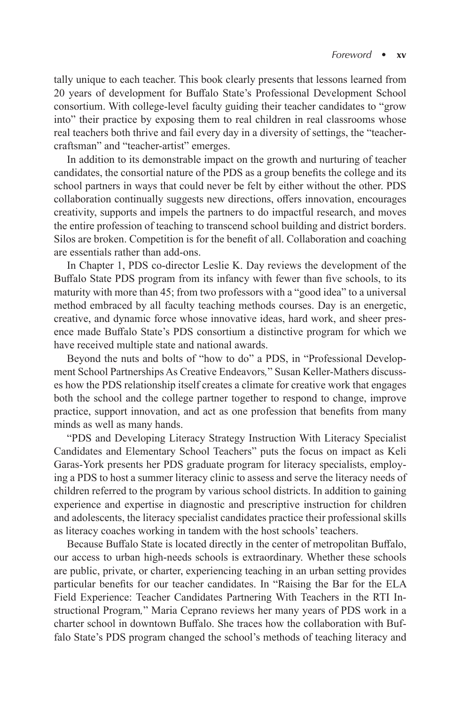tally unique to each teacher. This book clearly presents that lessons learned from 20 years of development for Buffalo State's Professional Development School consortium. With college-level faculty guiding their teacher candidates to "grow into" their practice by exposing them to real children in real classrooms whose real teachers both thrive and fail every day in a diversity of settings, the "teachercraftsman" and "teacher-artist" emerges.

In addition to its demonstrable impact on the growth and nurturing of teacher candidates, the consortial nature of the PDS as a group benefits the college and its school partners in ways that could never be felt by either without the other. PDS collaboration continually suggests new directions, offers innovation, encourages creativity, supports and impels the partners to do impactful research, and moves the entire profession of teaching to transcend school building and district borders. Silos are broken. Competition is for the benefit of all. Collaboration and coaching are essentials rather than add-ons.

In Chapter 1, PDS co-director Leslie K. Day reviews the development of the Buffalo State PDS program from its infancy with fewer than five schools, to its maturity with more than 45; from two professors with a "good idea" to a universal method embraced by all faculty teaching methods courses. Day is an energetic, creative, and dynamic force whose innovative ideas, hard work, and sheer presence made Buffalo State's PDS consortium a distinctive program for which we have received multiple state and national awards.

Beyond the nuts and bolts of "how to do" a PDS, in "Professional Development School Partnerships As Creative Endeavors*,*" Susan Keller-Mathers discusses how the PDS relationship itself creates a climate for creative work that engages both the school and the college partner together to respond to change, improve practice, support innovation, and act as one profession that benefits from many minds as well as many hands.

"PDS and Developing Literacy Strategy Instruction With Literacy Specialist Candidates and Elementary School Teachers" puts the focus on impact as Keli Garas-York presents her PDS graduate program for literacy specialists, employing a PDS to host a summer literacy clinic to assess and serve the literacy needs of children referred to the program by various school districts. In addition to gaining experience and expertise in diagnostic and prescriptive instruction for children and adolescents, the literacy specialist candidates practice their professional skills as literacy coaches working in tandem with the host schools' teachers.

Because Buffalo State is located directly in the center of metropolitan Buffalo, our access to urban high-needs schools is extraordinary. Whether these schools are public, private, or charter, experiencing teaching in an urban setting provides particular benefits for our teacher candidates. In "Raising the Bar for the ELA Field Experience: Teacher Candidates Partnering With Teachers in the RTI Instructional Program*,*" Maria Ceprano reviews her many years of PDS work in a charter school in downtown Buffalo. She traces how the collaboration with Buffalo State's PDS program changed the school's methods of teaching literacy and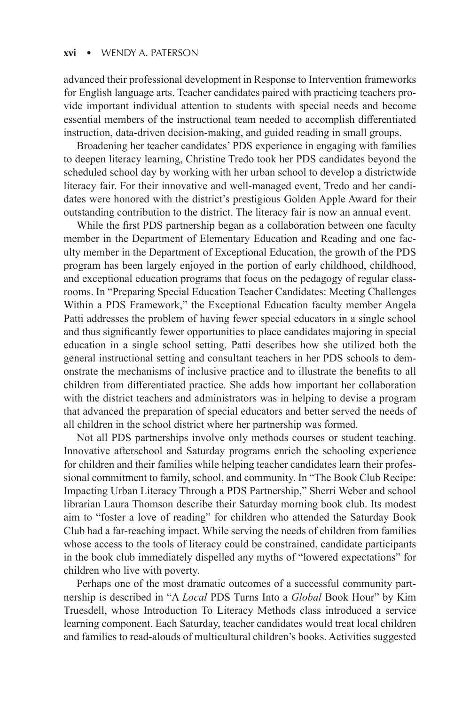#### **xvi** • WENDY A. PATERSON

advanced their professional development in Response to Intervention frameworks for English language arts. Teacher candidates paired with practicing teachers provide important individual attention to students with special needs and become essential members of the instructional team needed to accomplish differentiated instruction, data-driven decision-making, and guided reading in small groups.

Broadening her teacher candidates' PDS experience in engaging with families to deepen literacy learning, Christine Tredo took her PDS candidates beyond the scheduled school day by working with her urban school to develop a districtwide literacy fair. For their innovative and well-managed event, Tredo and her candidates were honored with the district's prestigious Golden Apple Award for their outstanding contribution to the district. The literacy fair is now an annual event.

While the first PDS partnership began as a collaboration between one faculty member in the Department of Elementary Education and Reading and one faculty member in the Department of Exceptional Education, the growth of the PDS program has been largely enjoyed in the portion of early childhood, childhood, and exceptional education programs that focus on the pedagogy of regular classrooms. In "Preparing Special Education Teacher Candidates: Meeting Challenges Within a PDS Framework," the Exceptional Education faculty member Angela Patti addresses the problem of having fewer special educators in a single school and thus significantly fewer opportunities to place candidates majoring in special education in a single school setting. Patti describes how she utilized both the general instructional setting and consultant teachers in her PDS schools to demonstrate the mechanisms of inclusive practice and to illustrate the benefits to all children from differentiated practice. She adds how important her collaboration with the district teachers and administrators was in helping to devise a program that advanced the preparation of special educators and better served the needs of all children in the school district where her partnership was formed.

Not all PDS partnerships involve only methods courses or student teaching. Innovative afterschool and Saturday programs enrich the schooling experience for children and their families while helping teacher candidates learn their professional commitment to family, school, and community. In "The Book Club Recipe: Impacting Urban Literacy Through a PDS Partnership," Sherri Weber and school librarian Laura Thomson describe their Saturday morning book club. Its modest aim to "foster a love of reading" for children who attended the Saturday Book Club had a far-reaching impact. While serving the needs of children from families whose access to the tools of literacy could be constrained, candidate participants in the book club immediately dispelled any myths of "lowered expectations" for children who live with poverty.

Perhaps one of the most dramatic outcomes of a successful community partnership is described in "A *Local* PDS Turns Into a *Global* Book Hour" by Kim Truesdell, whose Introduction To Literacy Methods class introduced a service learning component. Each Saturday, teacher candidates would treat local children and families to read-alouds of multicultural children's books. Activities suggested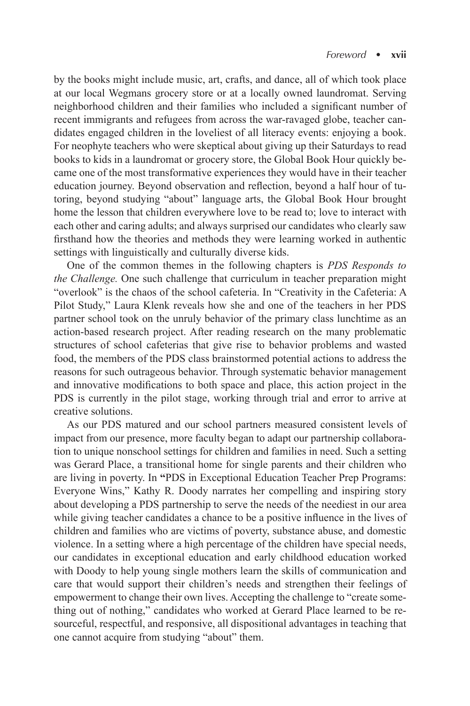by the books might include music, art, crafts, and dance, all of which took place at our local Wegmans grocery store or at a locally owned laundromat. Serving neighborhood children and their families who included a significant number of recent immigrants and refugees from across the war-ravaged globe, teacher candidates engaged children in the loveliest of all literacy events: enjoying a book. For neophyte teachers who were skeptical about giving up their Saturdays to read books to kids in a laundromat or grocery store, the Global Book Hour quickly became one of the most transformative experiences they would have in their teacher education journey. Beyond observation and reflection, beyond a half hour of tutoring, beyond studying "about" language arts, the Global Book Hour brought home the lesson that children everywhere love to be read to; love to interact with each other and caring adults; and always surprised our candidates who clearly saw firsthand how the theories and methods they were learning worked in authentic settings with linguistically and culturally diverse kids.

One of the common themes in the following chapters is *PDS Responds to the Challenge.* One such challenge that curriculum in teacher preparation might "overlook" is the chaos of the school cafeteria. In "Creativity in the Cafeteria: A Pilot Study," Laura Klenk reveals how she and one of the teachers in her PDS partner school took on the unruly behavior of the primary class lunchtime as an action-based research project. After reading research on the many problematic structures of school cafeterias that give rise to behavior problems and wasted food, the members of the PDS class brainstormed potential actions to address the reasons for such outrageous behavior. Through systematic behavior management and innovative modifications to both space and place, this action project in the PDS is currently in the pilot stage, working through trial and error to arrive at creative solutions.

As our PDS matured and our school partners measured consistent levels of impact from our presence, more faculty began to adapt our partnership collaboration to unique nonschool settings for children and families in need. Such a setting was Gerard Place, a transitional home for single parents and their children who are living in poverty. In **"**PDS in Exceptional Education Teacher Prep Programs: Everyone Wins," Kathy R. Doody narrates her compelling and inspiring story about developing a PDS partnership to serve the needs of the neediest in our area while giving teacher candidates a chance to be a positive influence in the lives of children and families who are victims of poverty, substance abuse, and domestic violence. In a setting where a high percentage of the children have special needs, our candidates in exceptional education and early childhood education worked with Doody to help young single mothers learn the skills of communication and care that would support their children's needs and strengthen their feelings of empowerment to change their own lives. Accepting the challenge to "create something out of nothing," candidates who worked at Gerard Place learned to be resourceful, respectful, and responsive, all dispositional advantages in teaching that one cannot acquire from studying "about" them.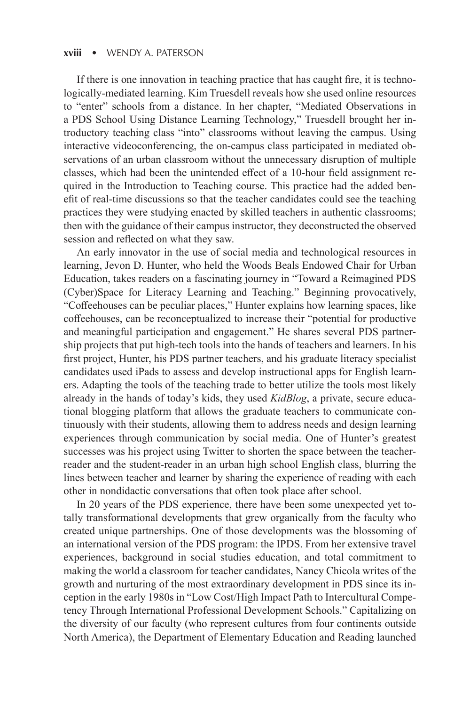#### **xviii** • WENDY A. PATERSON

If there is one innovation in teaching practice that has caught fire, it is technologically-mediated learning. Kim Truesdell reveals how she used online resources to "enter" schools from a distance. In her chapter, "Mediated Observations in a PDS School Using Distance Learning Technology," Truesdell brought her introductory teaching class "into" classrooms without leaving the campus. Using interactive videoconferencing, the on-campus class participated in mediated observations of an urban classroom without the unnecessary disruption of multiple classes, which had been the unintended effect of a 10-hour field assignment required in the Introduction to Teaching course. This practice had the added benefit of real-time discussions so that the teacher candidates could see the teaching practices they were studying enacted by skilled teachers in authentic classrooms; then with the guidance of their campus instructor, they deconstructed the observed session and reflected on what they saw.

An early innovator in the use of social media and technological resources in learning, Jevon D. Hunter, who held the Woods Beals Endowed Chair for Urban Education, takes readers on a fascinating journey in "Toward a Reimagined PDS (Cyber)Space for Literacy Learning and Teaching." Beginning provocatively, "Coffeehouses can be peculiar places," Hunter explains how learning spaces, like coffeehouses, can be reconceptualized to increase their "potential for productive and meaningful participation and engagement." He shares several PDS partnership projects that put high-tech tools into the hands of teachers and learners. In his first project, Hunter, his PDS partner teachers, and his graduate literacy specialist candidates used iPads to assess and develop instructional apps for English learners. Adapting the tools of the teaching trade to better utilize the tools most likely already in the hands of today's kids, they used *KidBlog*, a private, secure educational blogging platform that allows the graduate teachers to communicate continuously with their students, allowing them to address needs and design learning experiences through communication by social media. One of Hunter's greatest successes was his project using Twitter to shorten the space between the teacherreader and the student-reader in an urban high school English class, blurring the lines between teacher and learner by sharing the experience of reading with each other in nondidactic conversations that often took place after school.

In 20 years of the PDS experience, there have been some unexpected yet totally transformational developments that grew organically from the faculty who created unique partnerships. One of those developments was the blossoming of an international version of the PDS program: the IPDS. From her extensive travel experiences, background in social studies education, and total commitment to making the world a classroom for teacher candidates, Nancy Chicola writes of the growth and nurturing of the most extraordinary development in PDS since its inception in the early 1980s in "Low Cost/High Impact Path to Intercultural Competency Through International Professional Development Schools." Capitalizing on the diversity of our faculty (who represent cultures from four continents outside North America), the Department of Elementary Education and Reading launched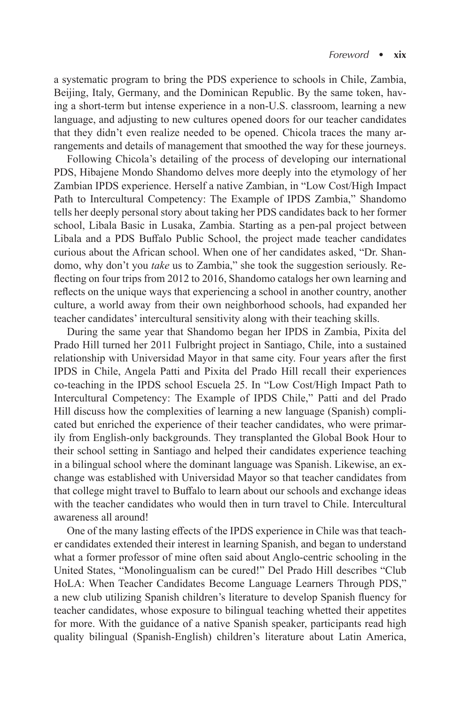a systematic program to bring the PDS experience to schools in Chile, Zambia, Beijing, Italy, Germany, and the Dominican Republic. By the same token, having a short-term but intense experience in a non-U.S. classroom, learning a new language, and adjusting to new cultures opened doors for our teacher candidates that they didn't even realize needed to be opened. Chicola traces the many arrangements and details of management that smoothed the way for these journeys.

Following Chicola's detailing of the process of developing our international PDS, Hibajene Mondo Shandomo delves more deeply into the etymology of her Zambian IPDS experience. Herself a native Zambian, in "Low Cost/High Impact Path to Intercultural Competency: The Example of IPDS Zambia," Shandomo tells her deeply personal story about taking her PDS candidates back to her former school, Libala Basic in Lusaka, Zambia. Starting as a pen-pal project between Libala and a PDS Buffalo Public School, the project made teacher candidates curious about the African school. When one of her candidates asked, "Dr. Shandomo, why don't you *take* us to Zambia," she took the suggestion seriously. Reflecting on four trips from 2012 to 2016, Shandomo catalogs her own learning and reflects on the unique ways that experiencing a school in another country, another culture, a world away from their own neighborhood schools, had expanded her teacher candidates' intercultural sensitivity along with their teaching skills.

During the same year that Shandomo began her IPDS in Zambia, Pixita del Prado Hill turned her 2011 Fulbright project in Santiago, Chile, into a sustained relationship with Universidad Mayor in that same city. Four years after the first IPDS in Chile, Angela Patti and Pixita del Prado Hill recall their experiences co-teaching in the IPDS school Escuela 25. In "Low Cost/High Impact Path to Intercultural Competency: The Example of IPDS Chile," Patti and del Prado Hill discuss how the complexities of learning a new language (Spanish) complicated but enriched the experience of their teacher candidates, who were primarily from English-only backgrounds. They transplanted the Global Book Hour to their school setting in Santiago and helped their candidates experience teaching in a bilingual school where the dominant language was Spanish. Likewise, an exchange was established with Universidad Mayor so that teacher candidates from that college might travel to Buffalo to learn about our schools and exchange ideas with the teacher candidates who would then in turn travel to Chile. Intercultural awareness all around!

One of the many lasting effects of the IPDS experience in Chile was that teacher candidates extended their interest in learning Spanish, and began to understand what a former professor of mine often said about Anglo-centric schooling in the United States, "Monolingualism can be cured!" Del Prado Hill describes "Club HoLA: When Teacher Candidates Become Language Learners Through PDS," a new club utilizing Spanish children's literature to develop Spanish fluency for teacher candidates, whose exposure to bilingual teaching whetted their appetites for more. With the guidance of a native Spanish speaker, participants read high quality bilingual (Spanish-English) children's literature about Latin America,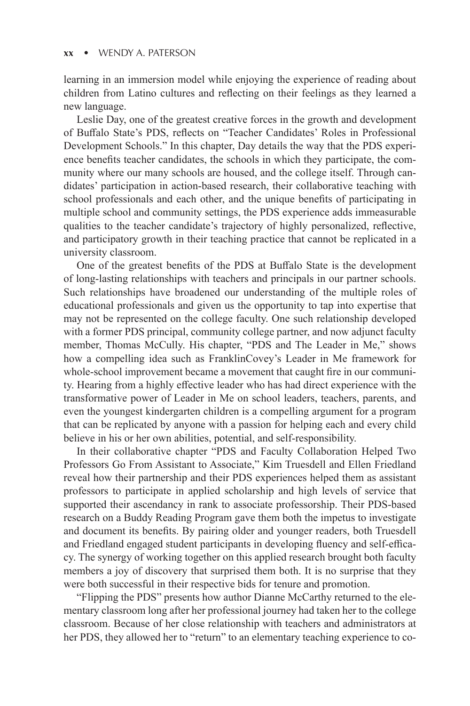#### **xx** • WENDY A. PATERSON

learning in an immersion model while enjoying the experience of reading about children from Latino cultures and reflecting on their feelings as they learned a new language.

Leslie Day, one of the greatest creative forces in the growth and development of Buffalo State's PDS, reflects on "Teacher Candidates' Roles in Professional Development Schools." In this chapter, Day details the way that the PDS experience benefits teacher candidates, the schools in which they participate, the community where our many schools are housed, and the college itself. Through candidates' participation in action-based research, their collaborative teaching with school professionals and each other, and the unique benefits of participating in multiple school and community settings, the PDS experience adds immeasurable qualities to the teacher candidate's trajectory of highly personalized, reflective, and participatory growth in their teaching practice that cannot be replicated in a university classroom.

One of the greatest benefits of the PDS at Buffalo State is the development of long-lasting relationships with teachers and principals in our partner schools. Such relationships have broadened our understanding of the multiple roles of educational professionals and given us the opportunity to tap into expertise that may not be represented on the college faculty. One such relationship developed with a former PDS principal, community college partner, and now adjunct faculty member, Thomas McCully. His chapter, "PDS and The Leader in Me," shows how a compelling idea such as FranklinCovey's Leader in Me framework for whole-school improvement became a movement that caught fire in our community. Hearing from a highly effective leader who has had direct experience with the transformative power of Leader in Me on school leaders, teachers, parents, and even the youngest kindergarten children is a compelling argument for a program that can be replicated by anyone with a passion for helping each and every child believe in his or her own abilities, potential, and self-responsibility.

In their collaborative chapter "PDS and Faculty Collaboration Helped Two Professors Go From Assistant to Associate," Kim Truesdell and Ellen Friedland reveal how their partnership and their PDS experiences helped them as assistant professors to participate in applied scholarship and high levels of service that supported their ascendancy in rank to associate professorship. Their PDS-based research on a Buddy Reading Program gave them both the impetus to investigate and document its benefits. By pairing older and younger readers, both Truesdell and Friedland engaged student participants in developing fluency and self-efficacy. The synergy of working together on this applied research brought both faculty members a joy of discovery that surprised them both. It is no surprise that they were both successful in their respective bids for tenure and promotion.

"Flipping the PDS" presents how author Dianne McCarthy returned to the elementary classroom long after her professional journey had taken her to the college classroom. Because of her close relationship with teachers and administrators at her PDS, they allowed her to "return" to an elementary teaching experience to co-